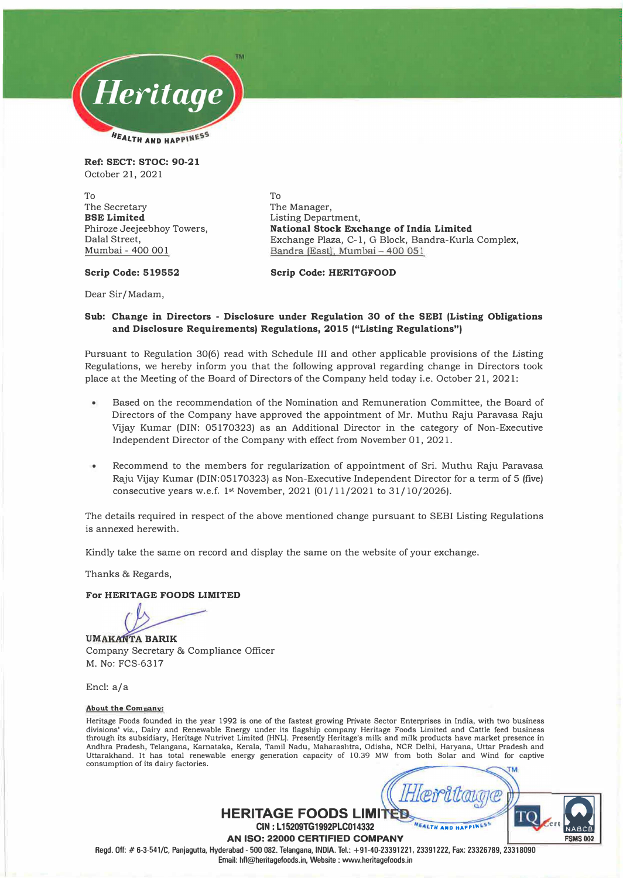

**Ref: SECT: STOC: 90-21**  October 21, 2021

To The Secretary **BSE Limited**  Phiroze Jeejeebhoy Towers, Dalal Street, Mumbai - 400 001

To The Manager, Listing Department, **National Stock Exchange of India Limited**  Exchange Plaza, C-1, G Block, Bandra-Kurla Complex, Bandra (East), Mumbai - 400 051

#### **Scrip Code: 519552**

Dear Sir/Madam,

## **Sub: Change in Directors - Disclosure under Regulation 30 of the SEBI (Listing Obligations and Disclosure Requirements) Regulations, 2015 ("Listing Regulations")**

**Scrip Code: HERITGFOOD** 

Pursuant to Regulation 30(6) read with Schedule III and other applicable provisions of the Listing Regulations, we hereby inform you that the following approval regarding change in Directors took place at the Meeting of the Board of Directors of the Company held today i.e. October 21, 2021:

- Based on the recommendation of the Nomination and Remuneration Committee, the Board of Directors of the Company have approved the appointment of Mr. Muthu Raju Paravasa Raju Vijay Kumar (DIN: 05170323) as an Additional Director in the category of Non-Executive Independent Director of the Company with effect from November 01, 2021.
- Recommend to the members for regularization of appointment of Sri. Muthu Raju Paravasa Raju Vijay Kumar (DIN:05170323) as Non-Executive Independent Director for a term of 5 (five) consecutive years w.e.f. 1**st** November, 2021 (01/11/2021 to 31/10/2026).

The details required in respect of the above mentioned change pursuant to SEBI Listing Regulations is annexed herewith.

Kindly take the same on record and display the same on the website of your exchange.

Thanks & Regards,

### **For HERITAGE FOODS LIMITED**

**UMAKANTA BARIK** Company Secretary & Compliance Officer M. No: FCS-6317

Encl: a/a

#### **About the Company:**

Heritage Foods founded in the year 1992 is one of the fastest growing Private Sector Enterprises in India, with two business divisions' viz., Dairy and Renewable Energy under its flagship company Heritage Foods Limited and Cattle feed business through its subsidiary, Heritage Nutrivet Limited (HNL). Presently Heritage's milk and milk products have market presence in Andhra Pradesh, Telangana, Karnataka, Kerala, Tamil Nadu, Maharashtra, Odisha, NCR Delhi, Haryana, Uttar Pradesh and Uttarakhand. It has total renewable energy generation capacity of 10.39 MW from both Solar and Wind for captive consumption of its dairy factories.



**HERITAGE FOODS LIMITED CIN : L 15209TG1992PLC014332** 

**AN ISO: 22000 CERTIFIED COMPANY** 

**Regd. Off:# 6-3-541/C, Panjagutta, Hyderabad- 500 082 . Telangana, INDIA. Tel.: +91-40-23391221, 23391222, Fax: 23326789, 23318090** 

**Email: hfl@heritagefoods.in, Website : www.heritagefoods.in**